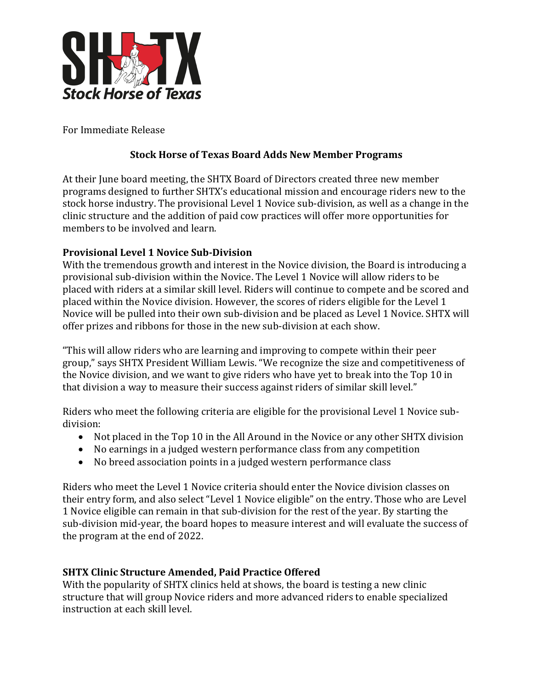

For Immediate Release

## **Stock Horse of Texas Board Adds New Member Programs**

At their June board meeting, the SHTX Board of Directors created three new member programs designed to further SHTX's educational mission and encourage riders new to the stock horse industry. The provisional Level 1 Novice sub-division, as well as a change in the clinic structure and the addition of paid cow practices will offer more opportunities for members to be involved and learn.

## **Provisional Level 1 Novice Sub-Division**

With the tremendous growth and interest in the Novice division, the Board is introducing a provisional sub-division within the Novice. The Level 1 Novice will allow riders to be placed with riders at a similar skill level. Riders will continue to compete and be scored and placed within the Novice division. However, the scores of riders eligible for the Level 1 Novice will be pulled into their own sub-division and be placed as Level 1 Novice. SHTX will offer prizes and ribbons for those in the new sub-division at each show.

"This will allow riders who are learning and improving to compete within their peer group," says SHTX President William Lewis. "We recognize the size and competitiveness of the Novice division, and we want to give riders who have yet to break into the Top 10 in that division a way to measure their success against riders of similar skill level."

Riders who meet the following criteria are eligible for the provisional Level 1 Novice subdivision:

- Not placed in the Top 10 in the All Around in the Novice or any other SHTX division
- No earnings in a judged western performance class from any competition
- No breed association points in a judged western performance class

Riders who meet the Level 1 Novice criteria should enter the Novice division classes on their entry form, and also select "Level 1 Novice eligible" on the entry. Those who are Level 1 Novice eligible can remain in that sub-division for the rest of the year. By starting the sub-division mid-year, the board hopes to measure interest and will evaluate the success of the program at the end of 2022.

## **SHTX Clinic Structure Amended, Paid Practice Offered**

With the popularity of SHTX clinics held at shows, the board is testing a new clinic structure that will group Novice riders and more advanced riders to enable specialized instruction at each skill level.